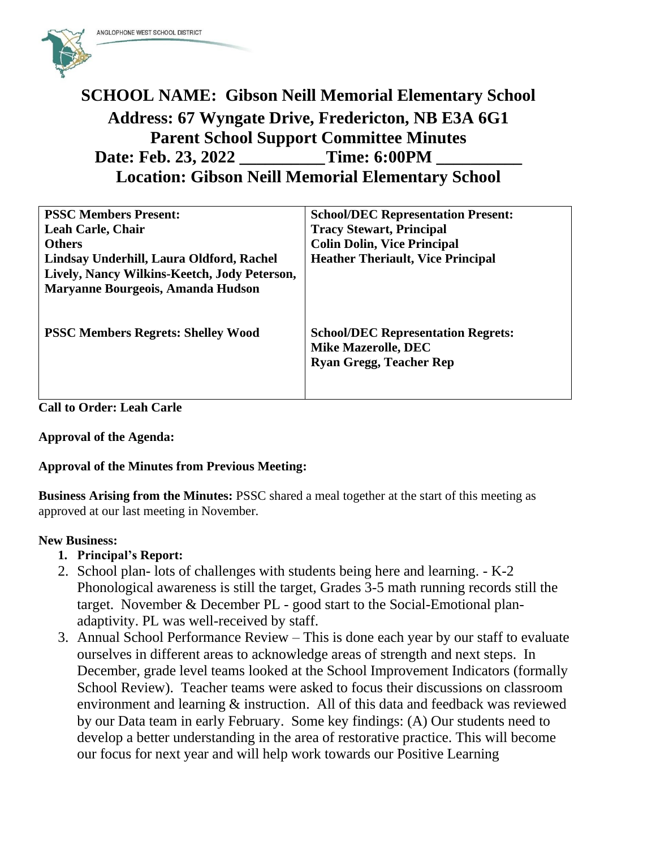

# **SCHOOL NAME: Gibson Neill Memorial Elementary School Address: 67 Wyngate Drive, Fredericton, NB E3A 6G1 Parent School Support Committee Minutes Date: Feb. 23, 2022 \_\_\_\_\_\_\_\_\_\_Time: 6:00PM \_\_\_\_\_\_\_\_\_\_ Location: Gibson Neill Memorial Elementary School**

| <b>PSSC Members Present:</b>                 | <b>School/DEC Representation Present:</b> |
|----------------------------------------------|-------------------------------------------|
| <b>Leah Carle, Chair</b>                     | <b>Tracy Stewart, Principal</b>           |
| <b>Others</b>                                | <b>Colin Dolin, Vice Principal</b>        |
| Lindsay Underhill, Laura Oldford, Rachel     | <b>Heather Theriault, Vice Principal</b>  |
| Lively, Nancy Wilkins-Keetch, Jody Peterson, |                                           |
| Maryanne Bourgeois, Amanda Hudson            |                                           |
|                                              |                                           |
|                                              |                                           |
| <b>PSSC Members Regrets: Shelley Wood</b>    | <b>School/DEC Representation Regrets:</b> |
|                                              | <b>Mike Mazerolle, DEC</b>                |
|                                              | <b>Ryan Gregg, Teacher Rep</b>            |
|                                              |                                           |
|                                              |                                           |

### **Call to Order: Leah Carle**

#### **Approval of the Agenda:**

#### **Approval of the Minutes from Previous Meeting:**

**Business Arising from the Minutes:** PSSC shared a meal together at the start of this meeting as approved at our last meeting in November.

#### **New Business:**

- **1. Principal's Report:**
- 2. School plan- lots of challenges with students being here and learning. K-2 Phonological awareness is still the target, Grades 3-5 math running records still the target. November & December PL - good start to the Social-Emotional planadaptivity. PL was well-received by staff.
- 3. Annual School Performance Review This is done each year by our staff to evaluate ourselves in different areas to acknowledge areas of strength and next steps. In December, grade level teams looked at the School Improvement Indicators (formally School Review). Teacher teams were asked to focus their discussions on classroom environment and learning & instruction. All of this data and feedback was reviewed by our Data team in early February. Some key findings: (A) Our students need to develop a better understanding in the area of restorative practice. This will become our focus for next year and will help work towards our Positive Learning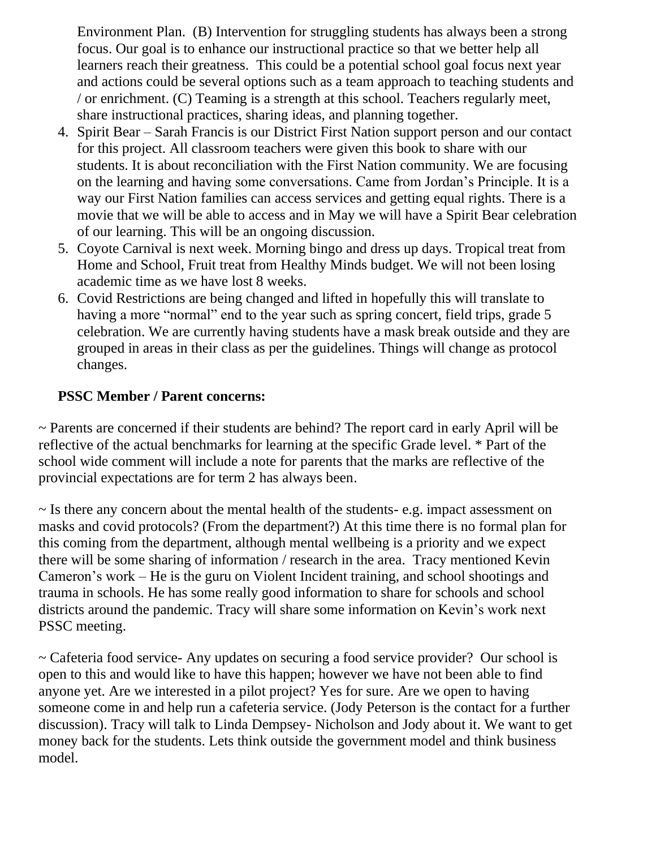Environment Plan. (B) Intervention for struggling students has always been a strong focus. Our goal is to enhance our instructional practice so that we better help all learners reach their greatness. This could be a potential school goal focus next year and actions could be several options such as a team approach to teaching students and / or enrichment. (C) Teaming is a strength at this school. Teachers regularly meet, share instructional practices, sharing ideas, and planning together.

- 4. Spirit Bear Sarah Francis is our District First Nation support person and our contact for this project. All classroom teachers were given this book to share with our students. It is about reconciliation with the First Nation community. We are focusing on the learning and having some conversations. Came from Jordan's Principle. It is a way our First Nation families can access services and getting equal rights. There is a movie that we will be able to access and in May we will have a Spirit Bear celebration of our learning. This will be an ongoing discussion.
- 5. Coyote Carnival is next week. Morning bingo and dress up days. Tropical treat from Home and School, Fruit treat from Healthy Minds budget. We will not been losing academic time as we have lost 8 weeks.
- 6. Covid Restrictions are being changed and lifted in hopefully this will translate to having a more "normal" end to the year such as spring concert, field trips, grade 5 celebration. We are currently having students have a mask break outside and they are grouped in areas in their class as per the guidelines. Things will change as protocol changes.

## **PSSC Member / Parent concerns:**

~ Parents are concerned if their students are behind? The report card in early April will be reflective of the actual benchmarks for learning at the specific Grade level. \* Part of the school wide comment will include a note for parents that the marks are reflective of the provincial expectations are for term 2 has always been.

~ Is there any concern about the mental health of the students- e.g. impact assessment on masks and covid protocols? (From the department?) At this time there is no formal plan for this coming from the department, although mental wellbeing is a priority and we expect there will be some sharing of information / research in the area. Tracy mentioned Kevin Cameron's work – He is the guru on Violent Incident training, and school shootings and trauma in schools. He has some really good information to share for schools and school districts around the pandemic. Tracy will share some information on Kevin's work next PSSC meeting.

~ Cafeteria food service- Any updates on securing a food service provider? Our school is open to this and would like to have this happen; however we have not been able to find anyone yet. Are we interested in a pilot project? Yes for sure. Are we open to having someone come in and help run a cafeteria service. (Jody Peterson is the contact for a further discussion). Tracy will talk to Linda Dempsey- Nicholson and Jody about it. We want to get money back for the students. Lets think outside the government model and think business model.